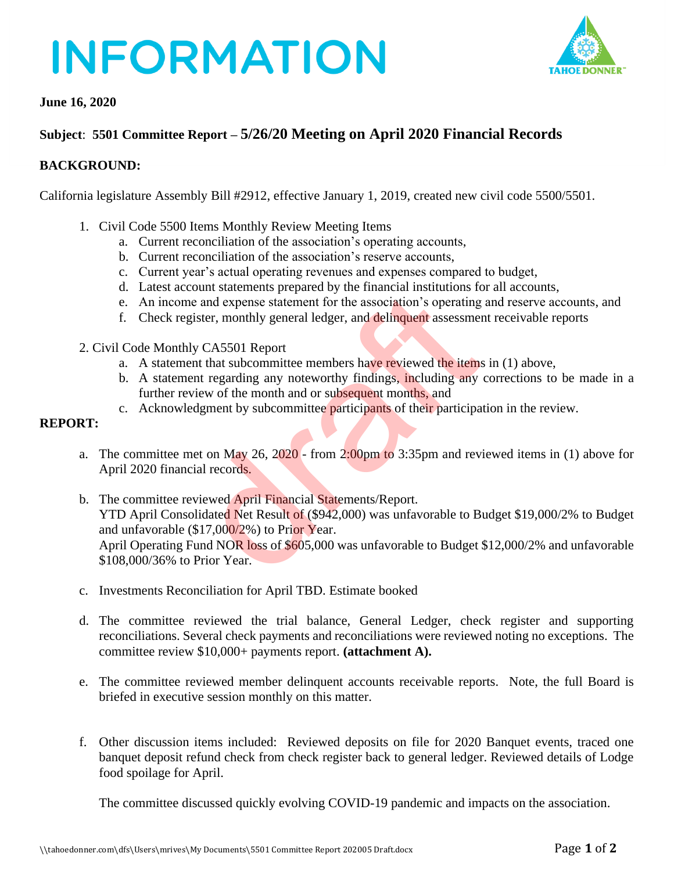# **INFORMATION**



### **June 16, 2020**

## **Subject**: **5501 Committee Report – 5/26/20 Meeting on April 2020 Financial Records**

### **BACKGROUND:**

California legislature Assembly Bill #2912, effective January 1, 2019, created new civil code 5500/5501.

- 1. Civil Code 5500 Items Monthly Review Meeting Items
	- a. Current reconciliation of the association's operating accounts,
	- b. Current reconciliation of the association's reserve accounts,
	- c. Current year's actual operating revenues and expenses compared to budget,
	- d. Latest account statements prepared by the financial institutions for all accounts,
	- e. An income and expense statement for the association's operating and reserve accounts, and
	- f. Check register, monthly general ledger, and delinquent assessment receivable reports
- 2. Civil Code Monthly CA5501 Report
	- a. A statement that subcommittee members have reviewed the items in (1) above,
	- b. A statement regarding any noteworthy findings, including any corrections to be made in a further review of the month and or subsequent months, and
	- c. Acknowledgment by subcommittee participants of their participation in the review.

### **REPORT:**

- a. The committee met on May 26,  $2020$  from 2:00pm to 3:35pm and reviewed items in (1) above for April 2020 financial records.
- b. The committee reviewed April Financial Statements/Report. YTD April Consolidated Net Result of (\$942,000) was unfavorable to Budget \$19,000/2% to Budget and unfavorable  $(\$17,000/2\%)$  to Prior Year. April Operating Fund NOR loss of \$605,000 was unfavorable to Budget \$12,000/2% and unfavorable \$108,000/36% to Prior Year. between the material statements of the sasociation's read expense statement for the association's operating<br>ister, monthly general ledger, and delinquent assessmes<br>w CA5501 Report<br>that subcommittee members have reviewed th
- c. Investments Reconciliation for April TBD. Estimate booked
- d. The committee reviewed the trial balance, General Ledger, check register and supporting reconciliations. Several check payments and reconciliations were reviewed noting no exceptions. The committee review \$10,000+ payments report. **(attachment A).**
- e. The committee reviewed member delinquent accounts receivable reports. Note, the full Board is briefed in executive session monthly on this matter.
- f. Other discussion items included: Reviewed deposits on file for 2020 Banquet events, traced one banquet deposit refund check from check register back to general ledger. Reviewed details of Lodge food spoilage for April.

The committee discussed quickly evolving COVID-19 pandemic and impacts on the association.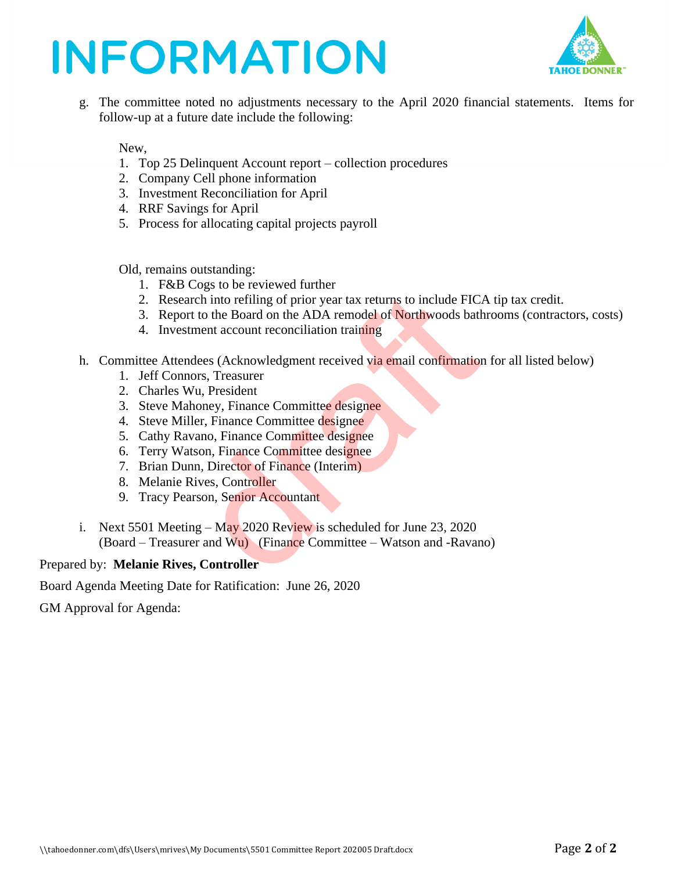## **INFORMATION**



g. The committee noted no adjustments necessary to the April 2020 financial statements. Items for follow-up at a future date include the following:

New,

- 1. Top 25 Delinquent Account report collection procedures
- 2. Company Cell phone information
- 3. Investment Reconciliation for April
- 4. RRF Savings for April
- 5. Process for allocating capital projects payroll

Old, remains outstanding:

- 1. F&B Cogs to be reviewed further
- 2. Research into refiling of prior year tax returns to include FICA tip tax credit.
- 3. Report to the Board on the ADA remodel of Northwoods bathrooms (contractors, costs)
- 4. Investment account reconciliation training
- h. Committee Attendees (Acknowledgment received via email confirmation for all listed below)
	- 1. Jeff Connors, Treasurer
	- 2. Charles Wu, President
	- 3. Steve Mahoney, Finance Committee designee
	- 4. Steve Miller, Finance Committee designee
	- 5. Cathy Ravano, Finance Committee designee
	- 6. Terry Watson, Finance Committee designee
	- 7. Brian Dunn, Director of Finance (Interim)
	- 8. Melanie Rives, Controller
	- 9. Tracy Pearson, Senior Accountant
- i. Next 5501 Meeting May 2020 Review is scheduled for June 23, 2020 (Board – Treasurer and Wu) (Finance Committee – Watson and -Ravano) Frequency into the HC<br>triation of Filing of prior year tax returns to include FIC<br>t to the Board on the ADA remodel of Northwoods bath<br>ment account reconciliation training<br>dees (Acknowledgment received via email confirmati

Prepared by: **Melanie Rives, Controller**

Board Agenda Meeting Date for Ratification: June 26, 2020

GM Approval for Agenda: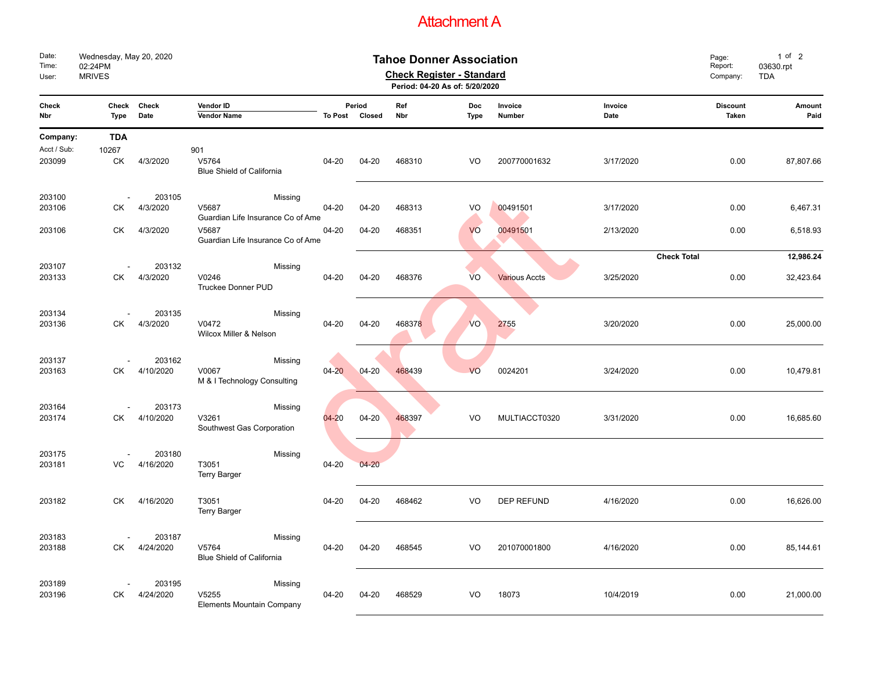### Attachment A

| Date:<br>Time:<br>User: | Wednesday, May 20, 2020<br>02:24PM<br><b>MRIVES</b> |                     |                                            | Page:<br>Report:<br>Company: | 1 of 2<br>03630.rpt<br><b>TDA</b> |            |                    |                      |                 |                                 |                |
|-------------------------|-----------------------------------------------------|---------------------|--------------------------------------------|------------------------------|-----------------------------------|------------|--------------------|----------------------|-----------------|---------------------------------|----------------|
| Check<br>Nbr            | Check<br><b>Type</b>                                | Check<br>Date       | Vendor ID<br>Vendor Name                   |                              | Period<br>To Post Closed          | Ref<br>Nbr | <b>Doc</b><br>Type | Invoice<br>Number    | Invoice<br>Date | <b>Discount</b><br><b>Taken</b> | Amount<br>Paid |
| Company:                | <b>TDA</b>                                          |                     |                                            |                              |                                   |            |                    |                      |                 |                                 |                |
| Acct / Sub:             | 10267                                               |                     | 901                                        |                              |                                   |            |                    |                      |                 |                                 |                |
| 203099                  | СK                                                  | 4/3/2020            | V5764<br>Blue Shield of California         | 04-20                        | $04 - 20$                         | 468310     | VO                 | 200770001632         | 3/17/2020       | 0.00                            | 87,807.66      |
| 203100                  |                                                     | 203105              | Missing                                    |                              |                                   |            |                    |                      |                 |                                 |                |
| 203106                  | СK                                                  | 4/3/2020            | V5687                                      | $04 - 20$                    | $04 - 20$                         | 468313     | VO                 | 00491501             | 3/17/2020       | 0.00                            | 6,467.31       |
|                         |                                                     |                     | Guardian Life Insurance Co of Ame          |                              |                                   |            |                    |                      |                 |                                 |                |
| 203106                  | СK                                                  | 4/3/2020            | V5687<br>Guardian Life Insurance Co of Ame | 04-20                        | $04 - 20$                         | 468351     | VO                 | 00491501             | 2/13/2020       | 0.00                            | 6,518.93       |
|                         |                                                     |                     |                                            |                              |                                   |            |                    |                      |                 | <b>Check Total</b>              | 12,986.24      |
| 203107<br>203133        | СK                                                  | 203132<br>4/3/2020  | Missing<br>V0246<br>Truckee Donner PUD     | 04-20                        | $04 - 20$                         | 468376     | <b>VO</b>          | <b>Various Accts</b> | 3/25/2020       | 0.00                            | 32,423.64      |
|                         |                                                     |                     |                                            |                              |                                   |            |                    |                      |                 |                                 |                |
| 203134                  |                                                     | 203135              | Missing                                    |                              |                                   |            |                    |                      |                 |                                 |                |
| 203136                  | СK                                                  | 4/3/2020            | V0472<br>Wilcox Miller & Nelson            | 04-20                        | $04 - 20$                         | 468378     | VO                 | 2755                 | 3/20/2020       | 0.00                            | 25,000.00      |
|                         |                                                     | 203162              |                                            |                              |                                   |            |                    |                      |                 |                                 |                |
| 203137<br>203163        | СK                                                  | 4/10/2020           | Missing<br>V0067                           | $04 - 20$                    | $04 - 20$                         | 468439     | VO                 | 0024201              | 3/24/2020       | 0.00                            | 10,479.81      |
|                         |                                                     |                     | M & I Technology Consulting                |                              |                                   |            |                    |                      |                 |                                 |                |
| 203164                  |                                                     | 203173              |                                            |                              |                                   |            |                    |                      |                 |                                 |                |
| 203174                  | СK                                                  | 4/10/2020           | Missing<br>V3261                           | $04 - 20$                    | $04 - 20$                         | 468397     | VO                 | MULTIACCT0320        | 3/31/2020       | 0.00                            | 16,685.60      |
|                         |                                                     |                     | Southwest Gas Corporation                  |                              |                                   |            |                    |                      |                 |                                 |                |
|                         |                                                     |                     |                                            |                              |                                   |            |                    |                      |                 |                                 |                |
| 203175                  |                                                     | 203180              | Missing                                    |                              |                                   |            |                    |                      |                 |                                 |                |
| 203181                  | VC                                                  | 4/16/2020           | T3051<br><b>Terry Barger</b>               | 04-20                        | $04 - 20$                         |            |                    |                      |                 |                                 |                |
|                         |                                                     |                     |                                            |                              |                                   |            |                    |                      |                 |                                 |                |
| 203182                  | <b>CK</b>                                           | 4/16/2020           | T3051<br>Terry Barger                      | 04-20                        | 04-20                             | 468462     | VO                 | <b>DEP REFUND</b>    | 4/16/2020       | 0.00                            | 16,626.00      |
|                         |                                                     |                     |                                            |                              |                                   |            |                    |                      |                 |                                 |                |
| 203183<br>203188        | СK                                                  | 203187<br>4/24/2020 | Missing<br>V5764                           | $04 - 20$                    | $04 - 20$                         | 468545     | VO                 | 201070001800         | 4/16/2020       | 0.00                            | 85,144.61      |
|                         |                                                     |                     | Blue Shield of California                  |                              |                                   |            |                    |                      |                 |                                 |                |
|                         |                                                     |                     |                                            |                              |                                   |            |                    |                      |                 |                                 |                |
| 203189                  |                                                     | 203195              | Missing                                    |                              |                                   |            |                    |                      |                 |                                 |                |
| 203196                  | СK                                                  | 4/24/2020           | V5255<br>Elements Mountain Company         | 04-20                        | $04 - 20$                         | 468529     | VO                 | 18073                | 10/4/2019       | 0.00                            | 21,000.00      |
|                         |                                                     |                     |                                            |                              |                                   |            |                    |                      |                 |                                 |                |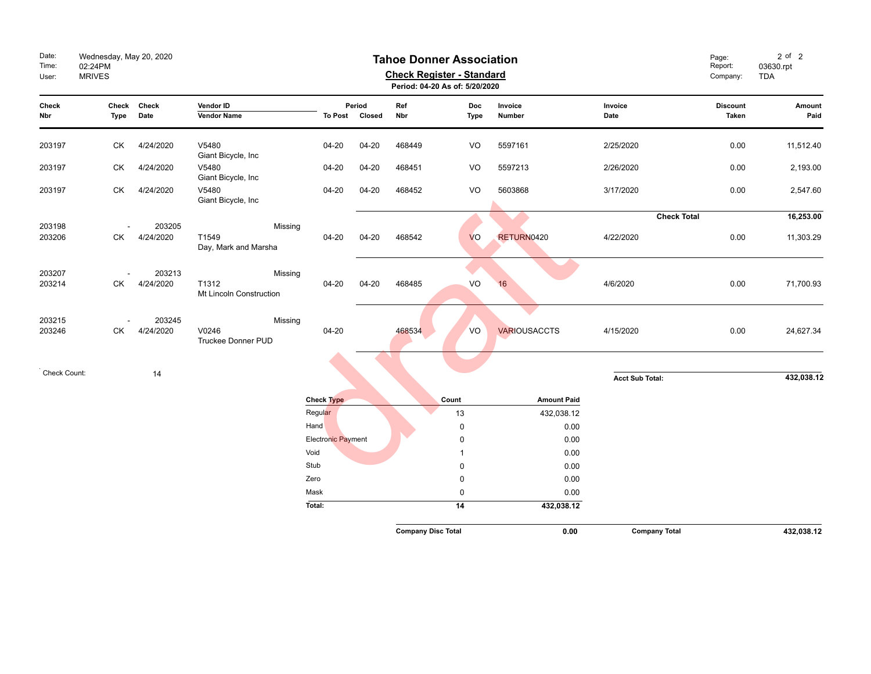| Date:<br>Time:<br>User: | Wednesday, May 20, 2020<br><b>Tahoe Donner Association</b><br>02:24PM<br><b>Check Register - Standard</b><br><b>MRIVES</b><br>Period: 04-20 As of: 5/20/2020 |                     |                                               |                    |                          |                           |                |                     | Page:<br>Report:<br>Company: | $2$ of $2$<br>03630.rpt<br><b>TDA</b> |                |
|-------------------------|--------------------------------------------------------------------------------------------------------------------------------------------------------------|---------------------|-----------------------------------------------|--------------------|--------------------------|---------------------------|----------------|---------------------|------------------------------|---------------------------------------|----------------|
| Check<br>Nbr            | Check<br>Type                                                                                                                                                | Check<br>Date       | Vendor ID<br><b>Vendor Name</b>               |                    | Period<br>To Post Closed | Ref<br>Nbr                | Doc<br>Type    | Invoice<br>Number   | Invoice<br>Date              | <b>Discount</b><br>Taken              | Amount<br>Paid |
| 203197                  | СK                                                                                                                                                           | 4/24/2020           | V5480<br>Giant Bicycle, Inc                   | $04 - 20$          | $04 - 20$                | 468449                    | VO             | 5597161             | 2/25/2020                    | 0.00                                  | 11,512.40      |
| 203197                  | СK                                                                                                                                                           | 4/24/2020           | V5480<br>Giant Bicycle, Inc                   | $04 - 20$          | $04 - 20$                | 468451                    | VO             | 5597213             | 2/26/2020                    | 0.00                                  | 2,193.00       |
| 203197                  | СK                                                                                                                                                           | 4/24/2020           | V5480<br>Giant Bicycle, Inc                   | 04-20              | $04 - 20$                | 468452                    | VO             | 5603868             | 3/17/2020                    | 0.00                                  | 2,547.60       |
|                         |                                                                                                                                                              |                     |                                               |                    |                          |                           |                |                     | <b>Check Total</b>           |                                       | 16,253.00      |
| 203198<br>203206        | СK                                                                                                                                                           | 203205<br>4/24/2020 | Missing<br>T1549<br>Day, Mark and Marsha      | $04 - 20$          | $04 - 20$                | 468542                    | <b>VO</b>      | RETURN0420          | 4/22/2020                    | 0.00                                  | 11,303.29      |
| 203207<br>203214        | СK                                                                                                                                                           | 203213<br>4/24/2020 | Missing<br>T1312<br>Mt Lincoln Construction   | $04 - 20$          | $04 - 20$                | 468485                    | VO             | 16                  | 4/6/2020                     | 0.00                                  | 71,700.93      |
| 203215<br>203246        | СK                                                                                                                                                           | 203245<br>4/24/2020 | Missing<br>V0246<br><b>Truckee Donner PUD</b> | $04 - 20$          |                          | 468534                    | VO             | <b>VARIOUSACCTS</b> | 4/15/2020                    | 0.00                                  | 24,627.34      |
| Check Count:            |                                                                                                                                                              | 14                  |                                               |                    |                          |                           |                |                     |                              |                                       |                |
|                         |                                                                                                                                                              |                     |                                               |                    |                          |                           |                |                     | <b>Acct Sub Total:</b>       |                                       | 432,038.12     |
|                         |                                                                                                                                                              |                     |                                               | <b>Check Type</b>  |                          |                           | Count          | <b>Amount Paid</b>  |                              |                                       |                |
|                         |                                                                                                                                                              |                     |                                               | Regular            |                          |                           | 13             | 432,038.12          |                              |                                       |                |
|                         |                                                                                                                                                              |                     |                                               | Hand               |                          |                           | 0              | 0.00                |                              |                                       |                |
|                         |                                                                                                                                                              |                     |                                               | Electronic Payment |                          |                           | 0              | 0.00                |                              |                                       |                |
|                         |                                                                                                                                                              |                     |                                               | Void               |                          |                           | $\overline{1}$ | 0.00                |                              |                                       |                |
|                         |                                                                                                                                                              |                     |                                               | Stub<br>Zero       |                          |                           | 0<br>0         | 0.00<br>0.00        |                              |                                       |                |
|                         |                                                                                                                                                              |                     |                                               | Mask               |                          |                           | 0              | 0.00                |                              |                                       |                |
|                         |                                                                                                                                                              |                     |                                               | Total:             |                          |                           | 14             | 432,038.12          |                              |                                       |                |
|                         |                                                                                                                                                              |                     |                                               |                    |                          | <b>Company Disc Total</b> |                | 0.00                | <b>Company Total</b>         |                                       | 432,038.12     |